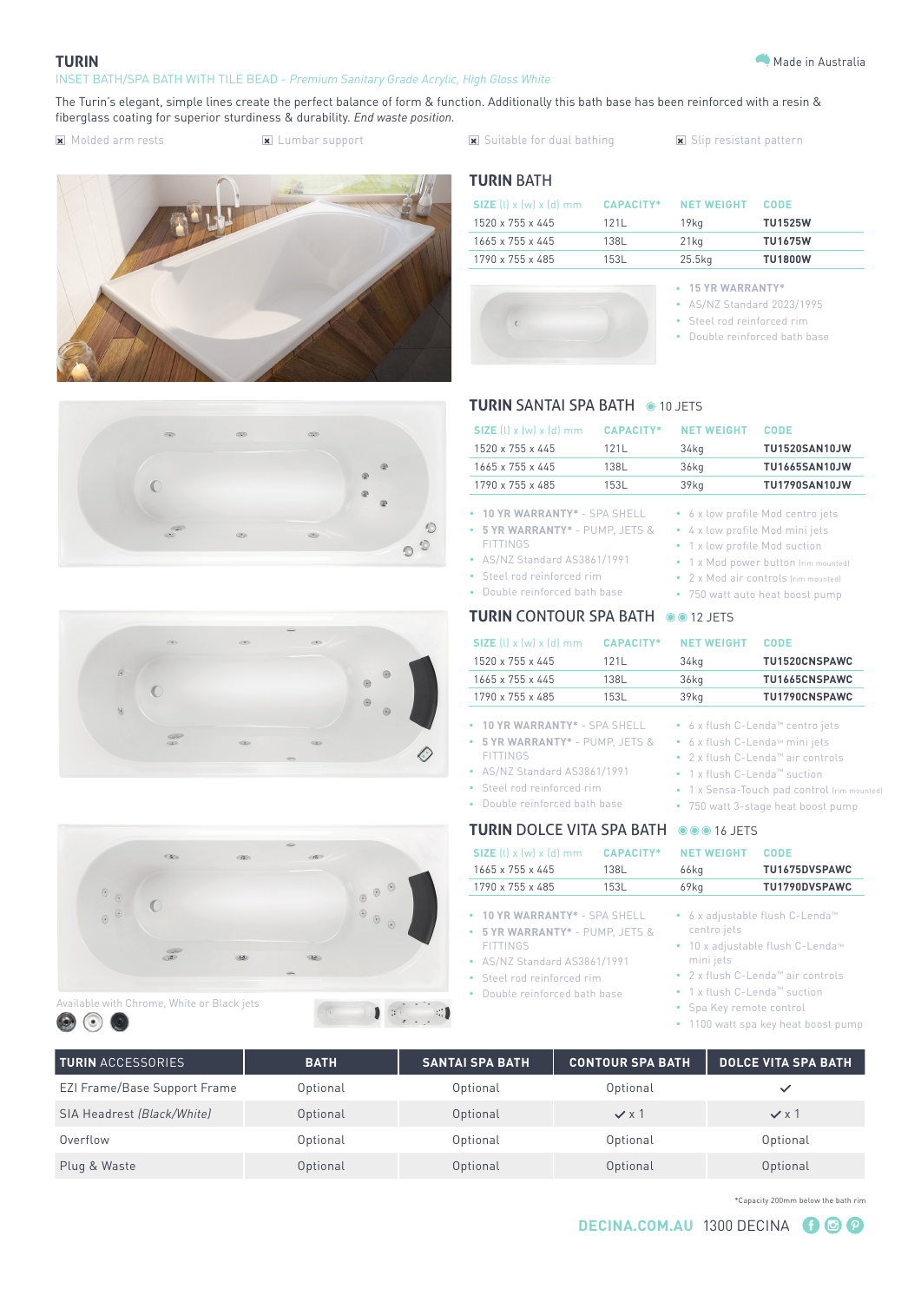#### **TURIN**

#### INSET BATH/SPA BATH WITH TILE BEAD - *Premium Sanitary Grade Acrylic, High Gloss White*

The Turin's elegant, simple lines create the perfect balance of form & function. Additionally this bath base has been reinforced with a resin & fiberglass coating for superior sturdiness & durability. *End waste position.*

- 
- 
- Molded arm rests Lumbar support Suitable for dual bathing Slip resistant pattern









# Available with Chrome, White or Black jets



# **TURIN** BATH

| <b>SIZE</b> (l) $\times$ (w) $\times$ (d) mm | CAPACITY* | <b>NET WEIGHT</b> | <b>CODE</b>    |
|----------------------------------------------|-----------|-------------------|----------------|
| 1520 x 755 x 445                             | 1211      | 19ka              | <b>TU1525W</b> |
| 1665 x 755 x 445                             | 138L      | $21$ kg           | <b>TU1675W</b> |
| 1790 x 755 x 485                             | 153L      | 25.5kg            | <b>TU1800W</b> |



#### **• 15 YR WARRANTY\***

- AS/NZ Standard 2023/1995
- Steel rod reinforced rim
- Double reinforced bath base

## **TURIN SANTAI SPA BATH @ 10 JETS**

| $SIZE$ (l) x (w) x (d) mm                                                                                                                                                                                                                                         | <b>CAPACITY*</b> | <b>NET WEIGHT</b>                                                                      | CODE                                                                                                                                               |
|-------------------------------------------------------------------------------------------------------------------------------------------------------------------------------------------------------------------------------------------------------------------|------------------|----------------------------------------------------------------------------------------|----------------------------------------------------------------------------------------------------------------------------------------------------|
| $1520 \times 755 \times 445$                                                                                                                                                                                                                                      | 121L             | 34kg                                                                                   | <b>TU1520SAN10JW</b>                                                                                                                               |
| 1665 x 755 x 445                                                                                                                                                                                                                                                  | 138L             | 36 <sub>kq</sub>                                                                       | <b>TU1665SAN10JW</b>                                                                                                                               |
| 1790 x 755 x 485                                                                                                                                                                                                                                                  | 153L             | 39 <sub>kg</sub>                                                                       | <b>TU1790SAN10JW</b>                                                                                                                               |
| 10 YR WARRANTY* - SPA SHELL<br>٠<br>5 YR WARRANTY* - PUMP, JETS &<br>$\bullet$<br><b>FITTINGS</b><br>AS/NZ Standard AS3861/1991<br>$\bullet$<br>• Steel rod reinforced rim<br>Double reinforced bath base<br>$\bullet$<br><b>TURIN CONTOUR SPA BATH @@12 JETS</b> |                  | $\bullet$<br>4 x low profile Mod mini jets<br>٠<br>1 x low profile Mod suction<br>۰    | 6 x low profile Mod centro jets<br>1 x Mod power button (rim mounted)<br>2 x Mod air controls (rim mounted)<br>750 watt auto heat boost pump       |
| $SIZE$ (l) x (w) x (d) mm                                                                                                                                                                                                                                         | <b>CAPACITY*</b> | <b>NET WEIGHT</b>                                                                      | <b>CODE</b>                                                                                                                                        |
| 1520 x 755 x 445                                                                                                                                                                                                                                                  | 121L             | 34 <sub>kq</sub>                                                                       | TU1520CNSPAWC                                                                                                                                      |
| $1665 \times 755 \times 445$                                                                                                                                                                                                                                      | 138L             | 36kg                                                                                   | TU1665CNSPAWC                                                                                                                                      |
|                                                                                                                                                                                                                                                                   |                  |                                                                                        |                                                                                                                                                    |
| 1790 x 755 x 485                                                                                                                                                                                                                                                  | 153L             | 39kg                                                                                   | TU1790CNSPAWC                                                                                                                                      |
| 10 YR WARRANTY* - SPA SHELL<br>٠<br>5 YR WARRANTY* - PUMP, JETS &<br>٠<br><b>FITTINGS</b><br>AS/NZ Standard AS3861/1991<br>Steel rod reinforced rim<br>٠<br>Double reinforced bath base<br>۰                                                                      |                  | 6 x flush C-Lenda™ mini jets<br>۰<br>٠<br>1 x flush C-Lenda™ suction<br>$\bullet$<br>٠ | 6 x flush C-Lenda™ centro jets<br>2 x flush C-Lenda™ air controls<br>1 x Sensa-Touch pad control (rim mounted)<br>750 watt 3-stage heat boost pump |

| SIZE $(l)$ x $(w)$ x $(d)$ mm                                                                                                                                                      | <b>CAPACITY*</b> | <b>NET WEIGHT</b>                                                                    | CODE                                                                                                                 |
|------------------------------------------------------------------------------------------------------------------------------------------------------------------------------------|------------------|--------------------------------------------------------------------------------------|----------------------------------------------------------------------------------------------------------------------|
| $1665 \times 755 \times 445$                                                                                                                                                       | 138L             | 66kg                                                                                 | TU1675DVSPAWC                                                                                                        |
| 1790 x 755 x 485                                                                                                                                                                   | 153L             | $69$ kg                                                                              | TU1790DVSPAWC                                                                                                        |
| • 10 YR WARRANTY* - SPA SHELL<br>• 5 YR WARRANTY* - PUMP, JETS &<br><b>FITTINGS</b><br>• AS/NZ Standard AS3861/1991<br>• Steel rod reinforced rim<br>• Double reinforced bath base |                  | centro jets<br>mini jets<br>● 1 x flush C-Lenda™ suction<br>• Spa Key remote control | ● 6 x adjustable flush C-Lenda <sup>™</sup><br>• 10 x adjustable flush C-Lenda™<br>• 2 x flush C-Lenda™ air controls |

• 1100 watt spa key heat boost pump

| <b>TURIN</b> ACCESSORIES            | <b>BATH</b> | <b>SANTAI SPA BATH</b> | <b>CONTOUR SPA BATH</b> | <b>DOLCE VITA SPA BATH</b> |
|-------------------------------------|-------------|------------------------|-------------------------|----------------------------|
| <b>EZI Frame/Base Support Frame</b> | Optional    | Optional               | Optional                |                            |
| SIA Headrest (Black/White)          | Optional    | Optional               | $\checkmark$ x 1        | $\checkmark$ x 1           |
| Overflow                            | Optional    | Optional               | Optional                | Optional                   |
| Plug & Waste                        | Optional    | Optional               | Optional                | Optional                   |

\*Capacity 200mm below the bath rim